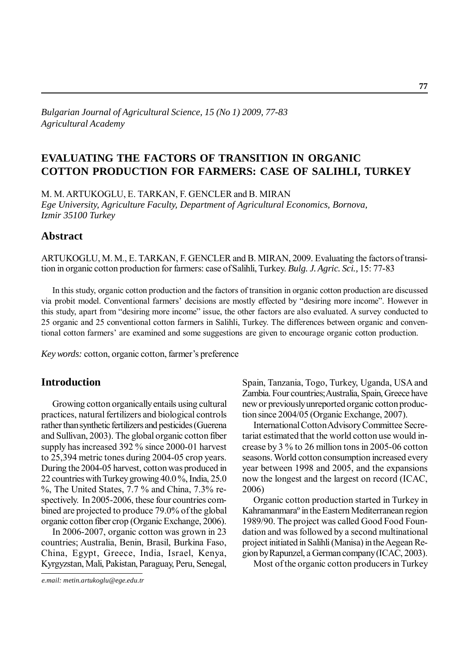## *Bulgarian Journal of Agricultural Science, 15 (No 1) 2009, 77-83 Agricultural Academy*

## **EVALUATING THE FACTORS OF TRANSITION IN ORGANIC COTTON PRODUCTION FOR FARMERS: CASE OF SALIHLI, TURKEY**

M. M. ARTUKOGLU, E. TARKAN, F. GENCLER and B. MIRAN *Ege University, Agriculture Faculty, Department of Agricultural Economics, Bornova, Izmir 35100 Turkey*

## **Abstract**

ARTUKOGLU, M. M., E. TARKAN, F. GENCLER and B. MIRAN, 2009. Evaluating the factors of transition in organic cotton production for farmers: case of Salihli, Turkey. *Bulg. J. Agric. Sci.,* 15: 77-83

In this study, organic cotton production and the factors of transition in organic cotton production are discussed via probit model. Conventional farmers' decisions are mostly effected by "desiring more income". However in this study, apart from "desiring more income" issue, the other factors are also evaluated. A survey conducted to 25 organic and 25 conventional cotton farmers in Salihli, Turkey. The differences between organic and conventional cotton farmers' are examined and some suggestions are given to encourage organic cotton production.

*Key words:* cotton, organic cotton, farmer's preference

## **Introduction**

Growing cotton organically entails using cultural practices, natural fertilizers and biological controls rather than synthetic fertilizers and pesticides (Guerena and Sullivan, 2003). The global organic cotton fiber supply has increased 392 % since 2000-01 harvest to 25,394 metric tones during 2004-05 crop years. During the 2004-05 harvest, cotton was produced in 22 countries with Turkey growing 40.0 %, India, 25.0 %, The United States, 7.7 % and China, 7.3% respectively. In 2005-2006, these four countries combined are projected to produce 79.0% of the global organic cotton fiber crop (Organic Exchange, 2006).

In 2006-2007, organic cotton was grown in 23 countries; Australia, Benin, Brasil, Burkina Faso, China, Egypt, Greece, India, Israel, Kenya, Kyrgyzstan, Mali, Pakistan, Paraguay, Peru, Senegal,

*e.mail: metin.artukoglu@ege.edu.tr*

Spain, Tanzania, Togo, Turkey, Uganda, USA and Zambia. Four countries; Australia, Spain, Greece have new or previously unreported organic cotton production since 2004/05 (Organic Exchange, 2007).

International Cotton Advisory Committee Secretariat estimated that the world cotton use would increase by 3 % to 26 million tons in 2005-06 cotton seasons. World cotton consumption increased every year between 1998 and 2005, and the expansions now the longest and the largest on record (ICAC, 2006)

Organic cotton production started in Turkey in Kahramanmaraº in the Eastern Mediterranean region 1989/90. The project was called Good Food Foundation and was followed by a second multinational project initiated in Salihli (Manisa) in the Aegean Region by Rapunzel, a German company (ICAC, 2003).

Most of the organic cotton producers in Turkey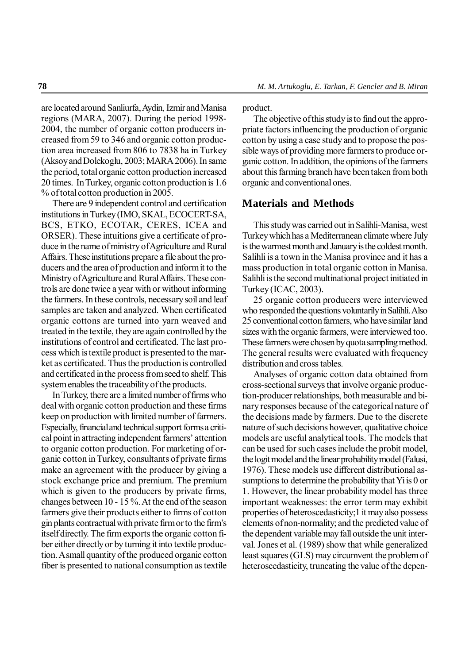are located around Sanliurfa, Aydin, Izmir and Manisa regions (MARA, 2007). During the period 1998- 2004, the number of organic cotton producers increased from 59 to 346 and organic cotton production area increased from 806 to 7838 ha in Turkey (Aksoy and Dolekoglu, 2003; MARA 2006). In same the period, total organic cotton production increased 20 times. In Turkey, organic cotton production is 1.6 % of total cotton production in 2005.

There are 9 independent control and certification institutions in Turkey (IMO, SKAL, ECOCERT-SA, BCS, ETKO, ECOTAR, CERES, ICEA and ORSER). These intuitions give a certificate of produce in the name of ministry of Agriculture and Rural Affairs. These institutions prepare a file about the producers and the area of production and inform it to the Ministry of Agriculture and Rural Affairs. These controls are done twice a year with or without informing the farmers. In these controls, necessary soil and leaf samples are taken and analyzed. When certificated organic cottons are turned into yarn weaved and treated in the textile, they are again controlled by the institutions of control and certificated. The last process which is textile product is presented to the market as certificated. Thus the production is controlled and certificated in the process from seed to shelf. This system enables the traceability of the products.

In Turkey, there are a limited number of firms who deal with organic cotton production and these firms keep on production with limited number of farmers. Especially, financial and technical support forms a critical point in attracting independent farmers' attention to organic cotton production. For marketing of organic cotton in Turkey, consultants of private firms make an agreement with the producer by giving a stock exchange price and premium. The premium which is given to the producers by private firms, changes between 10 - 15 %. At the end of the season farmers give their products either to firms of cotton gin plants contractual with private firm or to the firm's itself directly. The firm exports the organic cotton fiber either directly or by turning it into textile production. A small quantity of the produced organic cotton fiber is presented to national consumption as textile product.

The objective of this study is to find out the appropriate factors influencing the production of organic cotton by using a case study and to propose the possible ways of providing more farmers to produce organic cotton. In addition, the opinions of the farmers about this farming branch have been taken from both organic and conventional ones.

## **Materials and Methods**

This study was carried out in Salihli-Manisa, west Turkey which has a Mediterranean climate where July is the warmest month and January is the coldest month. Salihli is a town in the Manisa province and it has a mass production in total organic cotton in Manisa. Salihli is the second multinational project initiated in Turkey (ICAC, 2003).

25 organic cotton producers were interviewed who responded the questions voluntarily in Salihli. Also 25 conventional cotton farmers, who have similar land sizes with the organic farmers, were interviewed too. These farmers were chosen by quota sampling method. The general results were evaluated with frequency distribution and cross tables.

Analyses of organic cotton data obtained from cross-sectional surveys that involve organic production-producer relationships, both measurable and binary responses because of the categorical nature of the decisions made by farmers. Due to the discrete nature of such decisions however, qualitative choice models are useful analytical tools. The models that can be used for such cases include the probit model, the logit model and the linear probability model (Falusi, 1976). These models use different distributional assumptions to determine the probability that Yi is 0 or 1. However, the linear probability model has three important weaknesses: the error term may exhibit properties of heteroscedasticity;1 it may also possess elements of non-normality; and the predicted value of the dependent variable may fall outside the unit interval. Jones et al. (1989) show that while generalized least squares (GLS) may circumvent the problem of heteroscedasticity, truncating the value of the depen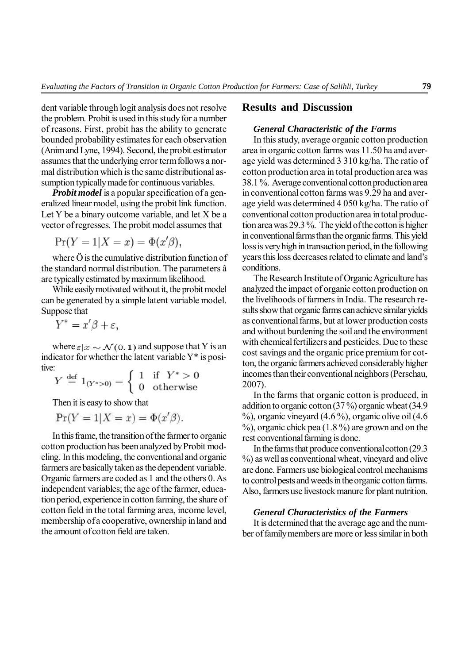dent variable through logit analysis does not resolve the problem. Probit is used in this study for a number of reasons. First, probit has the ability to generate bounded probability estimates for each observation (Anim and Lyne, 1994). Second, the probit estimator assumes that the underlying error term follows a normal distribution which is the same distributional assumption typically made for continuous variables.

*Probit model* is a popular specification of a generalized linear model, using the probit link function. Let Y be a binary outcome variable, and let X be a vector of regresses. The probit model assumes that

$$
\Pr(Y=1|X=x) = \Phi(x'\beta),
$$

where Ö is the cumulative distribution function of the standard normal distribution. The parameters â are typically estimated by maximum likelihood.

While easily motivated without it, the probit model can be generated by a simple latent variable model. Suppose that

$$
Y^* = x'\beta + \varepsilon,
$$

where  $\varepsilon | x \sim \mathcal{N}(0, 1)$  and suppose that Y is an indicator for whether the latent variable Y\* is positive:

$$
Y \stackrel{\text{def}}{=} 1_{(Y^*>0)} = \begin{cases} 1 & \text{if } Y^*>0\\ 0 & \text{otherwise} \end{cases}
$$

Then it is easy to show that

 $Pr(Y = 1 | X = x) = \Phi(x' \beta).$ 

In this frame, the transition of the farmer to organic cotton production has been analyzed by Probit modeling. In this modeling, the conventional and organic farmers are basically taken as the dependent variable. Organic farmers are coded as 1 and the others 0. As independent variables; the age of the farmer, education period, experience in cotton farming, the share of cotton field in the total farming area, income level, membership of a cooperative, ownership in land and the amount of cotton field are taken.

## **Results and Discussion**

## *General Characteristic of the Farms*

In this study, average organic cotton production area in organic cotton farms was 11.50 ha and average yield was determined 3 310 kg/ha. The ratio of cotton production area in total production area was 38.1 %. Average conventional cotton production area in conventional cotton farms was 9.29 ha and average yield was determined 4 050 kg/ha. The ratio of conventional cotton production area in total production area was 29.3 %. The yield of the cotton is higher in conventional farms than the organic farms. This yield loss is very high in transaction period, in the following years this loss decreases related to climate and land's conditions.

The Research Institute of Organic Agriculture has analyzed the impact of organic cotton production on the livelihoods of farmers in India. The research results show that organic farms can achieve similar yields as conventional farms, but at lower production costs and without burdening the soil and the environment with chemical fertilizers and pesticides. Due to these cost savings and the organic price premium for cotton, the organic farmers achieved considerably higher incomes than their conventional neighbors (Perschau, 2007).

In the farms that organic cotton is produced, in addition to organic cotton (37 %) organic wheat (34.9  $\%$ ), organic vineyard (4.6 %), organic olive oil (4.6  $\%$ ), organic chick pea (1.8 %) are grown and on the rest conventional farming is done.

In the farms that produce conventional cotton (29.3 %) as well as conventional wheat, vineyard and olive are done. Farmers use biological control mechanisms to control pests and weeds in the organic cotton farms. Also, farmers use livestock manure for plant nutrition.

### *General Characteristics of the Farmers*

It is determined that the average age and the number of family members are more or less similar in both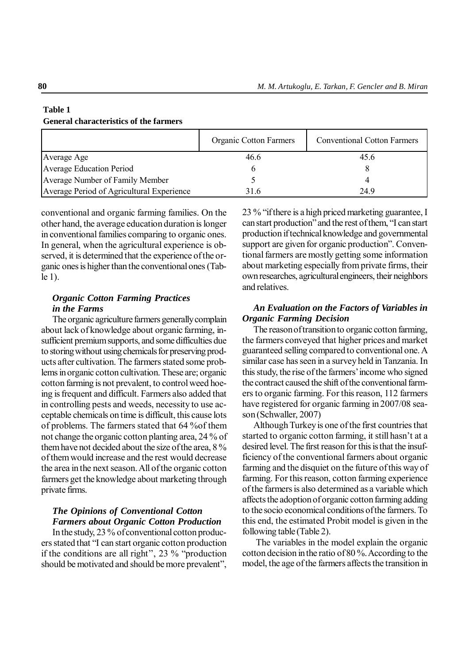# **Table 1**

#### **General characteristics of the farmers**

|                                           | <b>Organic Cotton Farmers</b> | <b>Conventional Cotton Farmers</b> |
|-------------------------------------------|-------------------------------|------------------------------------|
| Average Age                               | 46.6                          | 45.6                               |
| <b>Average Education Period</b>           |                               |                                    |
| Average Number of Family Member           |                               |                                    |
| Average Period of Agricultural Experience | 316                           | 249                                |

conventional and organic farming families. On the other hand, the average education duration is longer in conventional families comparing to organic ones. In general, when the agricultural experience is observed, it is determined that the experience of the organic ones is higher than the conventional ones (Table 1).

## *Organic Cotton Farming Practices in the Farms*

The organic agriculture farmers generally complain about lack of knowledge about organic farming, insufficient premium supports, and some difficulties due to storing without using chemicals for preserving products after cultivation. The farmers stated some problems in organic cotton cultivation. These are; organic cotton farming is not prevalent, to control weed hoeing is frequent and difficult. Farmers also added that in controlling pests and weeds, necessity to use acceptable chemicals on time is difficult, this cause lots of problems. The farmers stated that 64 %of them not change the organic cotton planting area, 24 % of them have not decided about the size of the area, 8 % of them would increase and the rest would decrease the area in the next season. All of the organic cotton farmers get the knowledge about marketing through private firms.

## *The Opinions of Conventional Cotton Farmers about Organic Cotton Production*

In the study, 23 % of conventional cotton producers stated that "I can start organic cotton production if the conditions are all right'', 23 % "production should be motivated and should be more prevalent",

23 % "if there is a high priced marketing guarantee, I can start production" and the rest of them, "I can start production if technical knowledge and governmental support are given for organic production". Conventional farmers are mostly getting some information about marketing especially from private firms, their own researches, agricultural engineers, their neighbors and relatives.

## *An Evaluation on the Factors of Variables in Organic Farming Decision*

The reason of transition to organic cotton farming, the farmers conveyed that higher prices and market guaranteed selling compared to conventional one. A similar case has seen in a survey held in Tanzania. In this study, the rise of the farmers' income who signed the contract caused the shift of the conventional farmers to organic farming. For this reason, 112 farmers have registered for organic farming in 2007/08 season (Schwaller, 2007)

Although Turkey is one of the first countries that started to organic cotton farming, it still hasn't at a desired level. The first reason for this is that the insufficiency of the conventional farmers about organic farming and the disquiet on the future of this way of farming. For this reason, cotton farming experience of the farmers is also determined as a variable which affects the adoption of organic cotton farming adding to the socio economical conditions of the farmers. To this end, the estimated Probit model is given in the following table (Table 2).

 The variables in the model explain the organic cotton decision in the ratio of 80 %. According to the model, the age of the farmers affects the transition in

#### **80**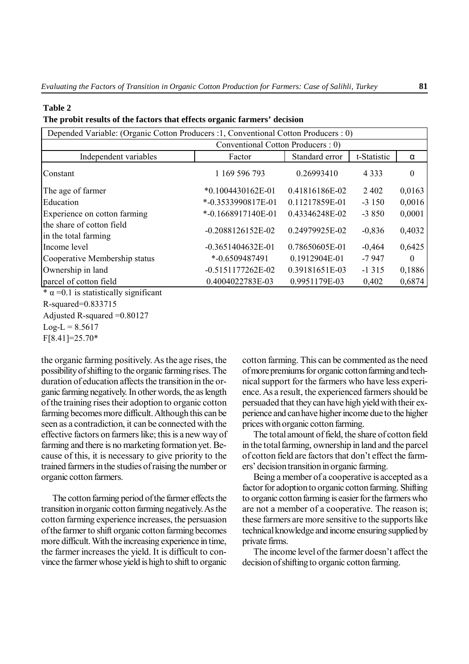#### **Table 2**

#### **The probit results of the factors that effects organic farmers' decision**

| Depended Variable: (Organic Cotton Producers : 1, Conventional Cotton Producers : 0) |                                    |                |             |          |  |
|--------------------------------------------------------------------------------------|------------------------------------|----------------|-------------|----------|--|
|                                                                                      | Conventional Cotton Producers : 0) |                |             |          |  |
| Independent variables                                                                | Factor                             | Standard error | t-Statistic | α        |  |
| Constant                                                                             | 1 169 596 793                      | 0.26993410     | 4 3 3 3     | $\theta$ |  |
| The age of farmer                                                                    | $*0.1004430162E-01$                | 0.41816186E-02 | 2402        | 0,0163   |  |
| Education                                                                            | *-0.3533990817E-01                 | 0.11217859E-01 | $-3150$     | 0,0016   |  |
| Experience on cotton farming                                                         | $*$ -0.1668917140E-01              | 0.43346248E-02 | $-3850$     | 0,0001   |  |
| the share of cotton field<br>in the total farming                                    | $-0.2088126152E-02$                | 0.24979925E-02 | $-0,836$    | 0,4032   |  |
| Income level                                                                         | $-0.3651404632E-01$                | 0.78650605E-01 | $-0,464$    | 0,6425   |  |
| Cooperative Membership status                                                        | $* -0.6509487491$                  | 0.1912904E-01  | $-7947$     | $\theta$ |  |
| Ownership in land                                                                    | $-0.5151177262E-02$                | 0.39181651E-03 | $-1315$     | 0,1886   |  |
| parcel of cotton field                                                               | 0.4004022783E-03                   | 0.9951179E-03  | 0,402       | 0,6874   |  |
| $* \alpha - 0$ 1 is statistically significant                                        |                                    |                |             |          |  |

 $\alpha$  =0.1 is statistically significant

R-squared=0.833715 Adjusted R-squared =0.80127  $Log-L = 8.5617$ 

the organic farming positively. As the age rises, the possibility of shifting to the organic farming rises. The duration of education affects the transition in the organic farming negatively. In other words, the as length of the training rises their adoption to organic cotton farming becomes more difficult. Although this can be seen as a contradiction, it can be connected with the effective factors on farmers like; this is a new way of farming and there is no marketing formation yet. Because of this, it is necessary to give priority to the trained farmers in the studies of raising the number or organic cotton farmers.

The cotton farming period of the farmer effects the transition in organic cotton farming negatively. As the cotton farming experience increases, the persuasion of the farmer to shift organic cotton farming becomes more difficult. With the increasing experience in time, the farmer increases the yield. It is difficult to convince the farmer whose yield is high to shift to organic cotton farming. This can be commented as the need of more premiums for organic cotton farming and technical support for the farmers who have less experience. As a result, the experienced farmers should be persuaded that they can have high yield with their experience and can have higher income due to the higher prices with organic cotton farming.

The total amount of field, the share of cotton field in the total farming, ownership in land and the parcel of cotton field are factors that don't effect the farmers' decision transition in organic farming.

Being a member of a cooperative is accepted as a factor for adoption to organic cotton farming. Shifting to organic cotton farming is easier for the farmers who are not a member of a cooperative. The reason is; these farmers are more sensitive to the supports like technical knowledge and income ensuring supplied by private firms.

The income level of the farmer doesn't affect the decision of shifting to organic cotton farming.

F[8.41]=25.70\*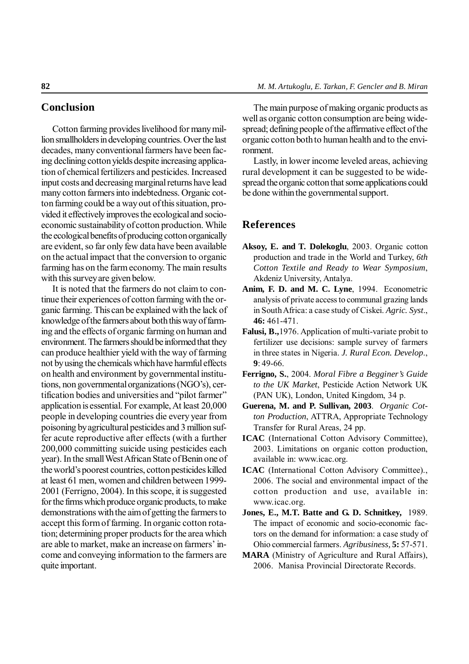## **Conclusion**

Cotton farming provides livelihood for many million smallholders in developing countries. Over the last decades, many conventional farmers have been facing declining cotton yields despite increasing application of chemical fertilizers and pesticides. Increased input costs and decreasing marginal returns have lead many cotton farmers into indebtedness. Organic cotton farming could be a way out of this situation, provided it effectively improves the ecological and socioeconomic sustainability of cotton production. While the ecological benefits of producing cotton organically are evident, so far only few data have been available on the actual impact that the conversion to organic farming has on the farm economy. The main results with this survey are given below.

It is noted that the farmers do not claim to continue their experiences of cotton farming with the organic farming. This can be explained with the lack of knowledge of the farmers about both this way of farming and the effects of organic farming on human and environment. The farmers should be informed that they can produce healthier yield with the way of farming not by using the chemicals which have harmful effects on health and environment by governmental institutions, non governmental organizations (NGO's), certification bodies and universities and "pilot farmer" application is essential. For example, At least 20,000 people in developing countries die every year from poisoning by agricultural pesticides and 3 million suffer acute reproductive after effects (with a further 200,000 committing suicide using pesticides each year). In the small West African State of Benin one of the world's poorest countries, cotton pesticides killed at least 61 men, women and children between 1999- 2001 (Ferrigno, 2004). In this scope, it is suggested for the firms which produce organic products, to make demonstrations with the aim of getting the farmers to accept this form of farming. In organic cotton rotation; determining proper products for the area which are able to market, make an increase on farmers' income and conveying information to the farmers are quite important.

The main purpose of making organic products as well as organic cotton consumption are being widespread; defining people of the affirmative effect of the organic cotton both to human health and to the environment.

Lastly, in lower income leveled areas, achieving rural development it can be suggested to be widespread the organic cotton that some applications could be done within the governmental support.

## **References**

- **Aksoy, E. and T. Dolekoglu**, 2003. Organic cotton production and trade in the World and Turkey, *6th Cotton Textile and Ready to Wear Symposium*, Akdeniz University, Antalya.
- **Anim, F. D. and M. C. Lyne**, 1994. Econometric analysis of private access to communal grazing lands in South Africa: a case study of Ciskei. *Agric. Syst*., **46:** 461-471.
- **Falusi, B.,**1976. Application of multi-variate probit to fertilizer use decisions: sample survey of farmers in three states in Nigeria. *J. Rural Econ. Develop*., **9**: 49-66.
- **Ferrigno, S.**, 2004. *Moral Fibre a Begginer's Guide to the UK Market*, Pesticide Action Network UK (PAN UK), London, United Kingdom, 34 p.
- **Guerena, M. and P. Sullivan, 2003**. *Organic Cotton Production*, ATTRA, Appropriate Technology Transfer for Rural Areas, 24 pp.
- **ICAC** (International Cotton Advisory Committee), 2003. Limitations on organic cotton production, available in: www.icac.org.
- **ICAC** (International Cotton Advisory Committee)., 2006. The social and environmental impact of the cotton production and use, available in: www.icac.org.
- **Jones, E., M.T. Batte and G. D. Schnitkey,** 1989. The impact of economic and socio-economic factors on the demand for information: a case study of Ohio commercial farmers. *Agribusiness,* **5:** 57-571.
- **MARA** (Ministry of Agriculture and Rural Affairs), 2006. Manisa Provincial Directorate Records.